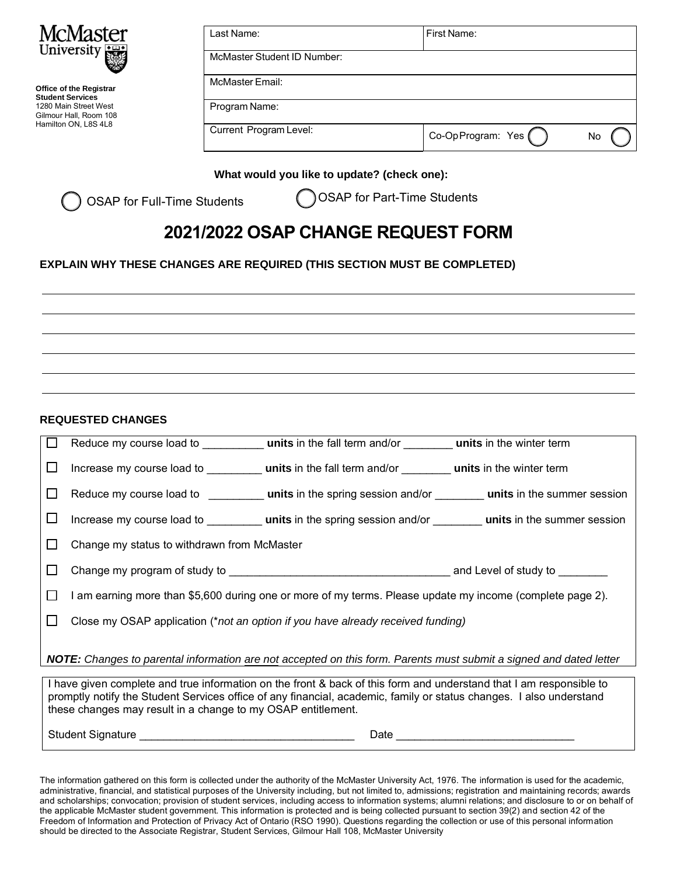

**Office of the Registrar Student Services**  1280 Main Street West Gilmour Hall, Room 108 Hamilton ON, L8S 4L8

| Last Name:                  | First Name:        |    |
|-----------------------------|--------------------|----|
| McMaster Student ID Number: |                    |    |
| <b>McMaster Email:</b>      |                    |    |
| Program Name:               |                    |    |
| Current Program Level:      | Co-Op Program: Yes | No |

## **What would you like to update? (check one):**

OSAP for Full-Time Students

OSAP for Part-Time Students

## **2021/2022 OSAP CHANGE REQUEST FORM**

## **EXPLAIN WHY THESE CHANGES ARE REQUIRED (THIS SECTION MUST BE COMPLETED)**

**REQUESTED CHANGES** 

| $\mathbf{L}$ |                                                                                                                           |  |  |  |
|--------------|---------------------------------------------------------------------------------------------------------------------------|--|--|--|
| ப            |                                                                                                                           |  |  |  |
| $\Box$       | Reduce my course load to <b>units</b> in the spring session and/or <b>units</b> in the summer session                     |  |  |  |
| ப            | Increase my course load to <b>units</b> in the spring session and/or <b>units</b> in the summer session                   |  |  |  |
| $\perp$      | Change my status to withdrawn from McMaster                                                                               |  |  |  |
| $\perp$      |                                                                                                                           |  |  |  |
| $\Box$       | l am earning more than \$5,600 during one or more of my terms. Please update my income (complete page 2).                 |  |  |  |
| ΙI           | Close my OSAP application (*not an option if you have already received funding)                                           |  |  |  |
|              | <b>NOTE:</b> Changes to parental information are not accepted on this form. Parents must submit a signed and dated letter |  |  |  |

I have given complete and true information on the front & back of this form and understand that I am responsible to promptly notify the Student Services office of any financial, academic, family or status changes. I also understand

Student Signature **Example 20** and  $\blacksquare$  Date  $\blacksquare$ 

these changes may result in a change to my OSAP entitlement.

The information gathered on this form is collected under the authority of the McMaster University Act, 1976. The information is used for the academic, administrative, financial, and statistical purposes of the University including, but not limited to, admissions; registration and maintaining records; awards and scholarships; convocation; provision of student services, including access to information systems; alumni relations; and disclosure to or on behalf of the applicable McMaster student government. This information is protected and is being collected pursuant to section 39(2) and section 42 of the Freedom of Information and Protection of Privacy Act of Ontario (RSO 1990). Questions regarding the collection or use of this personal information should be directed to the Associate Registrar, Student Services, Gilmour Hall 108, McMaster University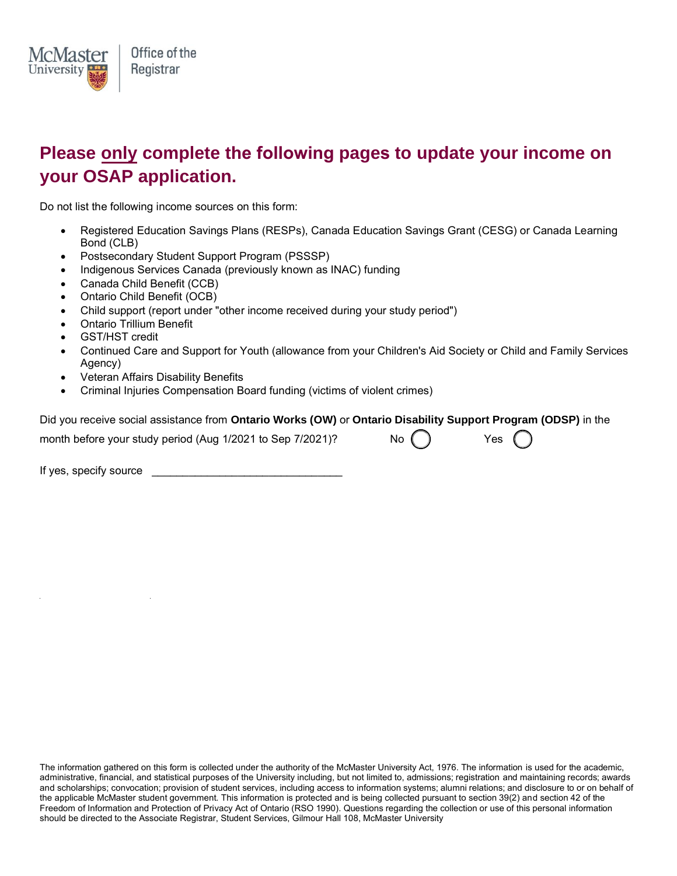

## **Please only complete the following pages to update your income on your OSAP application.**

Do not list the following income sources on this form:

- Registered Education Savings Plans (RESPs), Canada Education Savings Grant (CESG) or Canada Learning Bond (CLB)
- Postsecondary Student Support Program (PSSSP)
- Indigenous Services Canada (previously known as INAC) funding
- Canada Child Benefit (CCB)
- Ontario Child Benefit (OCB)
- Child support (report under "other income received during your study period")
- Ontario Trillium Benefit
- GST/HST credit
- Continued Care and Support for Youth (allowance from your Children's Aid Society or Child and Family Services Agency)
- Veteran Affairs Disability Benefits
- Criminal Injuries Compensation Board funding (victims of violent crimes)

|  |  | Did you receive social assistance from Ontario Works (OW) or Ontario Disability Support Program (ODSP) in the |
|--|--|---------------------------------------------------------------------------------------------------------------|
|--|--|---------------------------------------------------------------------------------------------------------------|

month before your study period (Aug  $1/2021$  to Sep  $7/2021$ )? No  $\bigcap$  Yes

If yes, specify source \_\_\_\_\_\_\_\_\_\_\_\_\_\_\_\_\_\_\_\_\_\_\_\_\_\_\_\_\_\_\_

The information gathered on this form is collected under the authority of the McMaster University Act, 1976. The information is used for the academic, administrative, financial, and statistical purposes of the University including, but not limited to, admissions; registration and maintaining records; awards and scholarships; convocation; provision of student services, including access to information systems; alumni relations; and disclosure to or on behalf of the applicable McMaster student government. This information is protected and is being collected pursuant to section 39(2) and section 42 of the Freedom of Information and Protection of Privacy Act of Ontario (RSO 1990). Questions regarding the collection or use of this personal information should be directed to the Associate Registrar, Student Services, Gilmour Hall 108, McMaster University